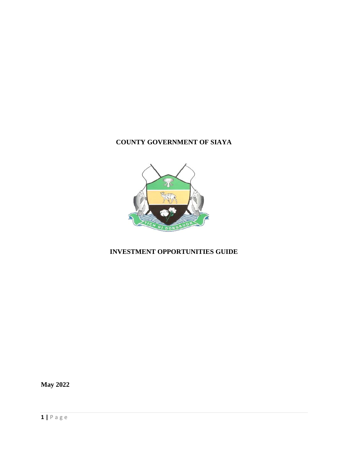# **COUNTY GOVERNMENT OF SIAYA**



# **INVESTMENT OPPORTUNITIES GUIDE**

**May 2022**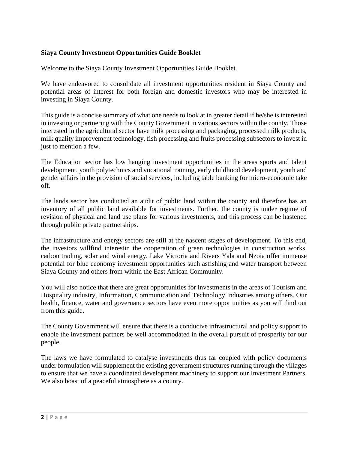### **Siaya County Investment Opportunities Guide Booklet**

Welcome to the Siaya County Investment Opportunities Guide Booklet.

We have endeavored to consolidate all investment opportunities resident in Siaya County and potential areas of interest for both foreign and domestic investors who may be interested in investing in Siaya County.

This guide is a concise summary of what one needs to look at in greater detail if he/she is interested in investing or partnering with the County Government in various sectors within the county. Those interested in the agricultural sector have milk processing and packaging, processed milk products, milk quality improvement technology, fish processing and fruits processing subsectors to invest in just to mention a few.

The Education sector has low hanging investment opportunities in the areas sports and talent development, youth polytechnics and vocational training, early childhood development, youth and gender affairs in the provision of social services, including table banking for micro-economic take off.

The lands sector has conducted an audit of public land within the county and therefore has an inventory of all public land available for investments. Further, the county is under regime of revision of physical and land use plans for various investments, and this process can be hastened through public private partnerships.

The infrastructure and energy sectors are still at the nascent stages of development. To this end, the investors willfind interestin the cooperation of green technologies in construction works, carbon trading, solar and wind energy. Lake Victoria and Rivers Yala and Nzoia offer immense potential for blue economy investment opportunities such asfishing and water transport between Siaya County and others from within the East African Community.

You will also notice that there are great opportunities for investments in the areas of Tourism and Hospitality industry, Information, Communication and Technology Industries among others. Our health, finance, water and governance sectors have even more opportunities as you will find out from this guide.

The County Government will ensure that there is a conducive infrastructural and policy support to enable the investment partners be well accommodated in the overall pursuit of prosperity for our people.

The laws we have formulated to catalyse investments thus far coupled with policy documents under formulation will supplement the existing government structures running through the villages to ensure that we have a coordinated development machinery to support our Investment Partners. We also boast of a peaceful atmosphere as a county.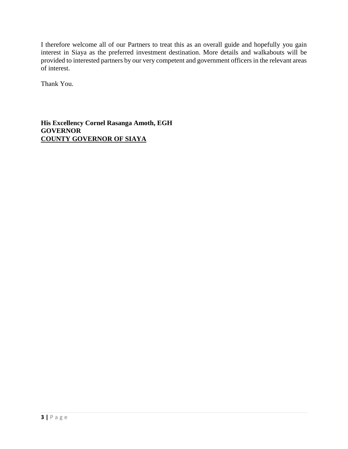I therefore welcome all of our Partners to treat this as an overall guide and hopefully you gain interest in Siaya as the preferred investment destination. More details and walkabouts will be provided to interested partners by our very competent and government officers in the relevant areas of interest.

Thank You.

**His Excellency Cornel Rasanga Amoth, EGH GOVERNOR COUNTY GOVERNOR OF SIAYA**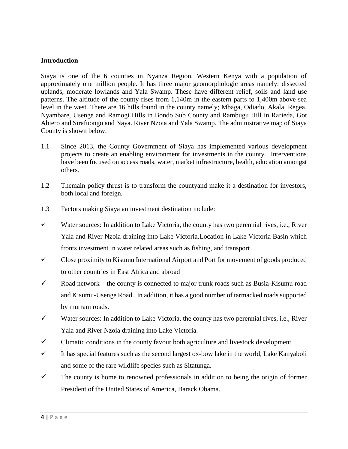#### **Introduction**

Siaya is one of the 6 counties in Nyanza Region, Western Kenya with a population of approximately one million people. It has three major geomorphologic areas namely: dissected uplands, moderate lowlands and Yala Swamp. These have different relief, soils and land use patterns. The altitude of the county rises from 1,140m in the eastern parts to 1,400m above sea level in the west. There are 16 hills found in the county namely; Mbaga, Odiado, Akala, Regea, Nyambare, Usenge and Ramogi Hills in Bondo Sub County and Rambugu Hill in Rarieda, Got Abiero and Sirafuongo and Naya. River Nzoia and Yala Swamp. The administrative map of Siaya County is shown below.

- 1.1 Since 2013, the County Government of Siaya has implemented various development projects to create an enabling environment for investments in the county. Interventions have been focused on access roads, water, market infrastructure, health, education amongst others.
- 1.2 Themain policy thrust is to transform the countyand make it a destination for investors, both local and foreign.
- 1.3 Factors making Siaya an investment destination include:
- $\checkmark$  Water sources: In addition to Lake Victoria, the county has two perennial rives, i.e., River Yala and River Nzoia draining into Lake Victoria.Location in Lake Victoria Basin which fronts investment in water related areas such as fishing, and transport
- $\checkmark$  Close proximity to Kisumu International Airport and Port for movement of goods produced to other countries in East Africa and abroad
- $\checkmark$  Road network the county is connected to major trunk roads such as Busia-Kisumu road and Kisumu-Usenge Road. In addition, it has a good number of tarmacked roads supported by murram roads.
- $\checkmark$  Water sources: In addition to Lake Victoria, the county has two perennial rives, i.e., River Yala and River Nzoia draining into Lake Victoria.
- $\checkmark$  Climatic conditions in the county favour both agriculture and livestock development
- It has special features such as the second largest ox-bow lake in the world, Lake Kanyaboli and some of the rare wildlife species such as Sitatunga.
- $\checkmark$  The county is home to renowned professionals in addition to being the origin of former President of the United States of America, Barack Obama.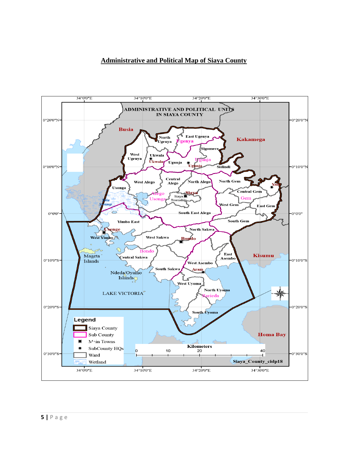## **Administrative and Political Map of Siaya County**

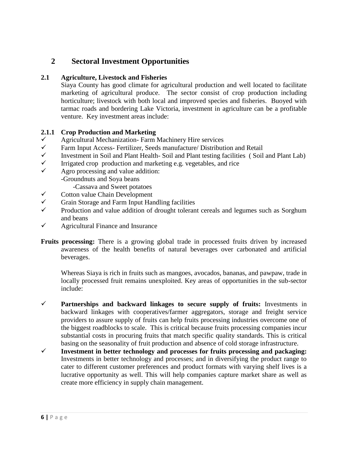# **2 Sectoral Investment Opportunities**

#### **2.1 Agriculture, Livestock and Fisheries**

Siaya County has good climate for agricultural production and well located to facilitate marketing of agricultural produce. The sector consist of crop production including horticulture; livestock with both local and improved species and fisheries. Buoyed with tarmac roads and bordering Lake Victoria, investment in agriculture can be a profitable venture. Key investment areas include:

#### **2.1.1 Crop Production and Marketing**

- $\checkmark$  Agricultural Mechanization- Farm Machinery Hire services  $\checkmark$  Farm Input Access- Fertilizer, Seeds manufacture/ Distribut
- Farm Input Access- Fertilizer, Seeds manufacture/ Distribution and Retail
- $\checkmark$  Investment in Soil and Plant Health- Soil and Plant testing facilities (Soil and Plant Lab)
- $\checkmark$  Irrigated crop production and marketing e.g. vegetables, and rice
- $\checkmark$  Agro processing and value addition: -Groundnuts and Soya beans
	- -Cassava and Sweet potatoes
- $\checkmark$  Cotton value Chain Development
- $\checkmark$  Grain Storage and Farm Input Handling facilities
- Production and value addition of drought tolerant cereals and legumes such as Sorghum and beans
- $\checkmark$  Agricultural Finance and Insurance
- **Fruits processing:** There is a growing global trade in processed fruits driven by increased awareness of the health benefits of natural beverages over carbonated and artificial beverages.

Whereas Siaya is rich in fruits such as mangoes, avocados, bananas, and pawpaw, trade in locally processed fruit remains unexploited. Key areas of opportunities in the sub-sector include:

- **Partnerships and backward linkages to secure supply of fruits:** Investments in backward linkages with cooperatives/farmer aggregators, storage and freight service providers to assure supply of fruits can help fruits processing industries overcome one of the biggest roadblocks to scale. This is critical because fruits processing companies incur substantial costs in procuring fruits that match specific quality standards. This is critical basing on the seasonality of fruit production and absence of cold storage infrastructure.
- **Investment in better technology and processes for fruits processing and packaging:** Investments in better technology and processes; and in diversifying the product range to cater to different customer preferences and product formats with varying shelf lives is a lucrative opportunity as well. This will help companies capture market share as well as create more efficiency in supply chain management.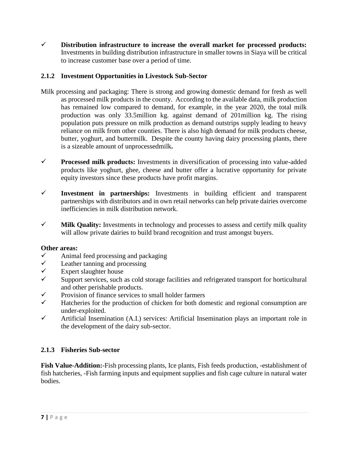**Distribution infrastructure to increase the overall market for processed products:** Investments in building distribution infrastructure in smaller towns in Siaya will be critical to increase customer base over a period of time.

# **2.1.2 Investment Opportunities in Livestock Sub-Sector**

- Milk processing and packaging: There is strong and growing domestic demand for fresh as well as processed milk products in the county. According to the available data, milk production has remained low compared to demand, for example, in the year 2020, the total milk production was only 33.5million kg. against demand of 201million kg. The rising population puts pressure on milk production as demand outstrips supply leading to heavy reliance on milk from other counties. There is also high demand for milk products cheese, butter, yoghurt, and buttermilk. Despite the county having dairy processing plants, there is a sizeable amount of unprocessedmilk**.**
- **Processed milk products:** Investments in diversification of processing into value-added products like yoghurt, ghee, cheese and butter offer a lucrative opportunity for private equity investors since these products have profit margins.
- **Investment in partnerships:** Investments in building efficient and transparent partnerships with distributors and in own retail networks can help private dairies overcome inefficiencies in milk distribution network.
- $\checkmark$  Milk Quality: Investments in technology and processes to assess and certify milk quality will allow private dairies to build brand recognition and trust amongst buyers.

# **Other areas:**

- $\checkmark$  Animal feed processing and packaging
- $\checkmark$  Leather tanning and processing
- $\checkmark$  Expert slaughter house
- Support services, such as cold storage facilities and refrigerated transport for horticultural and other perishable products.
- $\checkmark$  Provision of finance services to small holder farmers
- $\checkmark$  Hatcheries for the production of chicken for both domestic and regional consumption are under-exploited.
- $\checkmark$  Artificial Insemination (A.I.) services: Artificial Insemination plays an important role in the development of the dairy sub-sector.

# **2.1.3 Fisheries Sub-sector**

**Fish Value-Addition:**-Fish processing plants, Ice plants, Fish feeds production, -establishment of fish hatcheries, -Fish farming inputs and equipment supplies and fish cage culture in natural water bodies.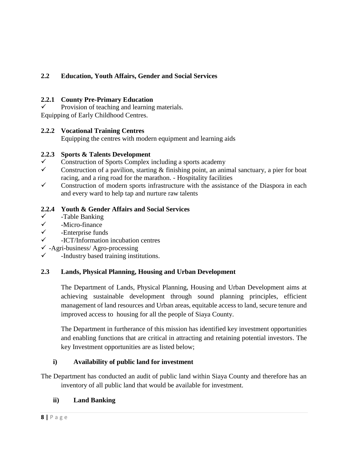# **2.2 Education, Youth Affairs, Gender and Social Services**

### **2.2.1 County Pre-Primary Education**

 Provision of teaching and learning materials. Equipping of Early Childhood Centres.

## **2.2.2 Vocational Training Centres**

Equipping the centres with modern equipment and learning aids

## **2.2.3 Sports & Talents Development**

- Construction of Sports Complex including a sports academy
- Construction of a pavilion, starting  $\&$  finishing point, an animal sanctuary, a pier for boat racing, and a ring road for the marathon. - Hospitality facilities
- $\checkmark$  Construction of modern sports infrastructure with the assistance of the Diaspora in each and every ward to help tap and nurture raw talents

## **2.2.4 Youth & Gender Affairs and Social Services**

- <del>V</del> -Table Banking<br>
<del>V</del> -Micro-finance
- -Micro-finance
- $\checkmark$  -Enterprise funds
- -ICT/Information incubation centres
- $\checkmark$  -Agri-business/ Agro-processing
- $\checkmark$  -Industry based training institutions.

# **2.3 Lands, Physical Planning, Housing and Urban Development**

The Department of Lands, Physical Planning, Housing and Urban Development aims at achieving sustainable development through sound planning principles, efficient management of land resources and Urban areas, equitable access to land, secure tenure and improved access to housing for all the people of Siaya County.

The Department in furtherance of this mission has identified key investment opportunities and enabling functions that are critical in attracting and retaining potential investors. The key Investment opportunities are as listed below;

# **i) Availability of public land for investment**

The Department has conducted an audit of public land within Siaya County and therefore has an inventory of all public land that would be available for investment.

# **ii) Land Banking**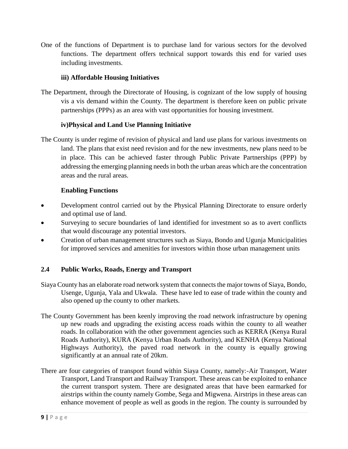One of the functions of Department is to purchase land for various sectors for the devolved functions. The department offers technical support towards this end for varied uses including investments.

## **iii) Affordable Housing Initiatives**

The Department, through the Directorate of Housing, is cognizant of the low supply of housing vis a vis demand within the County. The department is therefore keen on public private partnerships (PPPs) as an area with vast opportunities for housing investment.

### **iv)Physical and Land Use Planning Initiative**

The County is under regime of revision of physical and land use plans for various investments on land. The plans that exist need revision and for the new investments, new plans need to be in place. This can be achieved faster through Public Private Partnerships (PPP) by addressing the emerging planning needs in both the urban areas which are the concentration areas and the rural areas.

## **Enabling Functions**

- Development control carried out by the Physical Planning Directorate to ensure orderly and optimal use of land.
- Surveying to secure boundaries of land identified for investment so as to avert conflicts that would discourage any potential investors.
- Creation of urban management structures such as Siaya, Bondo and Ugunja Municipalities for improved services and amenities for investors within those urban management units

# **2.4 Public Works, Roads, Energy and Transport**

- Siaya County has an elaborate road network system that connects the major towns of Siaya, Bondo, Usenge, Ugunja, Yala and Ukwala. These have led to ease of trade within the county and also opened up the county to other markets.
- The County Government has been keenly improving the road network infrastructure by opening up new roads and upgrading the existing access roads within the county to all weather roads. In collaboration with the other government agencies such as KERRA (Kenya Rural Roads Authority), KURA (Kenya Urban Roads Authority), and KENHA (Kenya National Highways Authority), the paved road network in the county is equally growing significantly at an annual rate of 20km.
- There are four categories of transport found within Siaya County, namely:-Air Transport, Water Transport, Land Transport and Railway Transport. These areas can be exploited to enhance the current transport system. There are designated areas that have been earmarked for airstrips within the county namely Gombe, Sega and Migwena. Airstrips in these areas can enhance movement of people as well as goods in the region. The county is surrounded by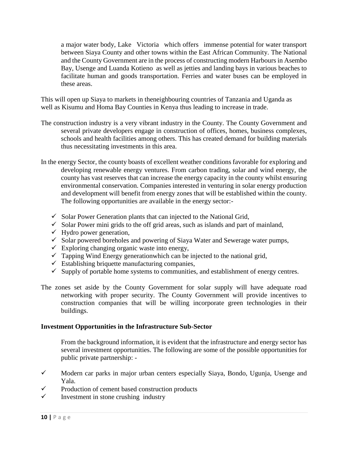a major water body, Lake Victoria which offers immense potential for water transport between Siaya County and other towns within the East African Community. The National and the County Government are in the process of constructing modern Harbours in Asembo Bay, Usenge and Luanda Kotieno as well as jetties and landing bays in various beaches to facilitate human and goods transportation. Ferries and water buses can be employed in these areas.

This will open up Siaya to markets in theneighbouring countries of Tanzania and Uganda as well as Kisumu and Homa Bay Counties in Kenya thus leading to increase in trade.

- The construction industry is a very vibrant industry in the County. The County Government and several private developers engage in construction of offices, homes, business complexes, schools and health facilities among others. This has created demand for building materials thus necessitating investments in this area.
- In the energy Sector, the county boasts of excellent weather conditions favorable for exploring and developing renewable energy ventures. From carbon trading, solar and wind energy, the county has vast reserves that can increase the energy capacity in the county whilst ensuring environmental conservation. Companies interested in venturing in solar energy production and development will benefit from energy zones that will be established within the county. The following opportunities are available in the energy sector:-
	- $\checkmark$  Solar Power Generation plants that can injected to the National Grid,
	- $\checkmark$  Solar Power mini grids to the off grid areas, such as islands and part of mainland,
	- $\checkmark$  Hydro power generation,
	- $\checkmark$  Solar powered boreholes and powering of Siaya Water and Sewerage water pumps,
	- $\checkmark$  Exploring changing organic waste into energy,
	- $\checkmark$  Tapping Wind Energy generationwhich can be injected to the national grid,
	- $\checkmark$  Establishing briquette manufacturing companies,
	- $\checkmark$  Supply of portable home systems to communities, and establishment of energy centres.
- The zones set aside by the County Government for solar supply will have adequate road networking with proper security. The County Government will provide incentives to construction companies that will be willing incorporate green technologies in their buildings.

### **Investment Opportunities in the Infrastructure Sub-Sector**

From the background information, it is evident that the infrastructure and energy sector has several investment opportunities. The following are some of the possible opportunities for public private partnership: -

- $\checkmark$  Modern car parks in major urban centers especially Siaya, Bondo, Ugunja, Usenge and Yala.
- $\checkmark$  Production of cement based construction products
- $\checkmark$  Investment in stone crushing industry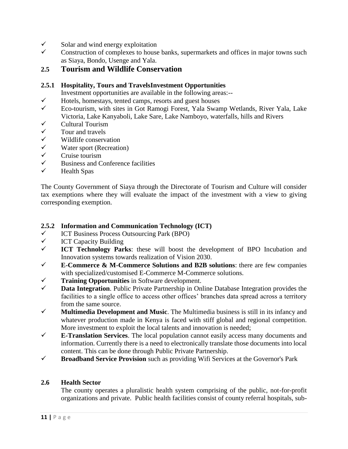- $\checkmark$  Solar and wind energy exploitation  $\checkmark$  Construction of complexes to bouse
- Construction of complexes to house banks, supermarkets and offices in major towns such as Siaya, Bondo, Usenge and Yala.

# **2.5 Tourism and Wildlife Conservation**

## **2.5.1 Hospitality, Tours and TravelsInvestment Opportunities**

Investment opportunities are available in the following areas:--

- $\checkmark$  Hotels, homestays, tented camps, resorts and guest houses
- Eco-tourism, with sites in Got Ramogi Forest, Yala Swamp Wetlands, River Yala, Lake Victoria, Lake Kanyaboli, Lake Sare, Lake Namboyo, waterfalls, hills and Rivers
- $\checkmark$  Cultural Tourism<br> $\checkmark$  Tour and travels
- Tour and travels
- $\checkmark$  Wildlife conservation<br> $\checkmark$  Water sport (Recreation
- $\checkmark$  Water sport (Recreation)<br> $\checkmark$  Cruise tourism
- Cruise tourism
- $\checkmark$  Business and Conference facilities
- $\checkmark$  Health Spas

The County Government of Siaya through the Directorate of Tourism and Culture will consider tax exemptions where they will evaluate the impact of the investment with a view to giving corresponding exemption.

### **2.5.2 Information and Communication Technology (ICT)**

- $\checkmark$  ICT Business Process Outsourcing Park (BPO)
- V ICT Capacity Building<br>V ICT Technology Par
- **ICT Technology Parks**: these will boost the development of BPO Incubation and Innovation systems towards realization of Vision 2030.
- $\checkmark$  **E-Commerce & M-Commerce Solutions and B2B solutions**: there are few companies with specialized/customised E-Commerce M-Commerce solutions.
- **Training Opportunities** in Software development.
- **Data Integration**. Public Private Partnership in Online Database Integration provides the facilities to a single office to access other offices' branches data spread across a territory from the same source.
- $\checkmark$  **Multimedia Development and Music**. The Multimedia business is still in its infancy and whatever production made in Kenya is faced with stiff global and regional competition. More investment to exploit the local talents and innovation is needed;
- **E-Translation Services**. The local population cannot easily access many documents and information. Currently there is a need to electronically translate those documents into local content. This can be done through Public Private Partnership.
- **Broadband Service Provision** such as providing Wifi Services at the Governor's Park

### **2.6 Health Sector**

The county operates a pluralistic health system comprising of the public, not-for-profit organizations and private. Public health facilities consist of county referral hospitals, sub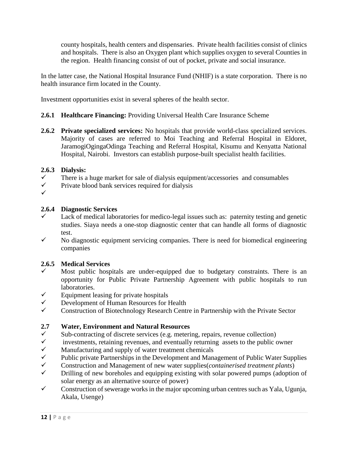county hospitals, health centers and dispensaries. Private health facilities consist of clinics and hospitals. There is also an Oxygen plant which supplies oxygen to several Counties in the region. Health financing consist of out of pocket, private and social insurance.

In the latter case, the National Hospital Insurance Fund (NHIF) is a state corporation. There is no health insurance firm located in the County.

Investment opportunities exist in several spheres of the health sector.

# **2.6.1 Healthcare Financing:** Providing Universal Health Care Insurance Scheme

**2.6.2 Private specialized services:** No hospitals that provide world-class specialized services. Majority of cases are referred to Moi Teaching and Referral Hospital in Eldoret, JaramogiOgingaOdinga Teaching and Referral Hospital, Kisumu and Kenyatta National Hospital, Nairobi. Investors can establish purpose-built specialist health facilities.

### **2.6.3 Dialysis:**

- $\checkmark$  There is a huge market for sale of dialysis equipment/accessories and consumables
- $\checkmark$  Private blood bank services required for dialysis
- $\checkmark$

## **2.6.4 Diagnostic Services**

- $\checkmark$  Lack of medical laboratories for medico-legal issues such as: paternity testing and genetic studies. Siaya needs a one-stop diagnostic center that can handle all forms of diagnostic test.
- $\checkmark$  No diagnostic equipment servicing companies. There is need for biomedical engineering companies

### **2.6.5 Medical Services**

- Most public hospitals are under-equipped due to budgetary constraints. There is an opportunity for Public Private Partnership Agreement with public hospitals to run laboratories.
- $\checkmark$  Equipment leasing for private hospitals
- $\checkmark$  Development of Human Resources for Health
- $\checkmark$  Construction of Biotechnology Research Centre in Partnership with the Private Sector

### **2.7 Water, Environment and Natural Resources**

- $\checkmark$  Sub-contracting of discrete services (e.g. metering, repairs, revenue collection)<br>investments retaining revenues and eventually returning assets to the public of
- investments, retaining revenues, and eventually returning assets to the public owner
- $\checkmark$  Manufacturing and supply of water treatment chemicals  $\checkmark$  Public private Partnerships in the Development and Manu
- $\checkmark$  Public private Partnerships in the Development and Management of Public Water Supplies<br> $\checkmark$  Construction and Management of new water supplies *containerised treatment plants*)
- Construction and Management of new water supplies(*containerised treatment plants*)
- $\checkmark$  Drilling of new boreholes and equipping existing with solar powered pumps (adoption of solar energy as an alternative source of power)
- $\checkmark$  Construction of sewerage works in the major upcoming urban centres such as Yala, Ugunja, Akala, Usenge)